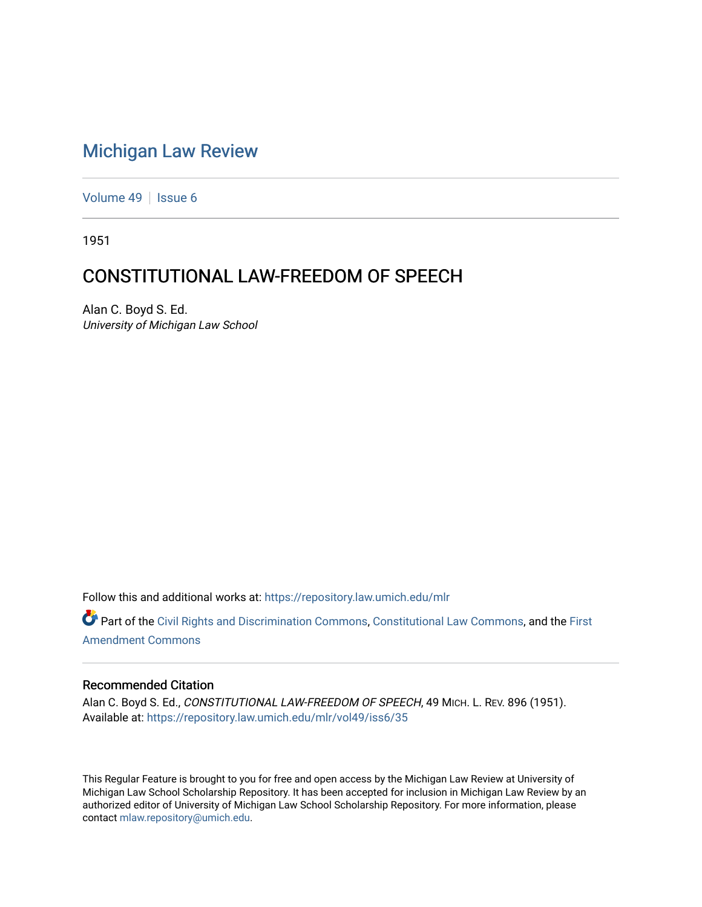## [Michigan Law Review](https://repository.law.umich.edu/mlr)

[Volume 49](https://repository.law.umich.edu/mlr/vol49) | [Issue 6](https://repository.law.umich.edu/mlr/vol49/iss6)

1951

## CONSTITUTIONAL LAW-FREEDOM OF SPEECH

Alan C. Boyd S. Ed. University of Michigan Law School

Follow this and additional works at: [https://repository.law.umich.edu/mlr](https://repository.law.umich.edu/mlr?utm_source=repository.law.umich.edu%2Fmlr%2Fvol49%2Fiss6%2F35&utm_medium=PDF&utm_campaign=PDFCoverPages) 

Part of the [Civil Rights and Discrimination Commons,](https://network.bepress.com/hgg/discipline/585?utm_source=repository.law.umich.edu%2Fmlr%2Fvol49%2Fiss6%2F35&utm_medium=PDF&utm_campaign=PDFCoverPages) [Constitutional Law Commons,](https://network.bepress.com/hgg/discipline/589?utm_source=repository.law.umich.edu%2Fmlr%2Fvol49%2Fiss6%2F35&utm_medium=PDF&utm_campaign=PDFCoverPages) and the First [Amendment Commons](https://network.bepress.com/hgg/discipline/1115?utm_source=repository.law.umich.edu%2Fmlr%2Fvol49%2Fiss6%2F35&utm_medium=PDF&utm_campaign=PDFCoverPages)

## Recommended Citation

Alan C. Boyd S. Ed., CONSTITUTIONAL LAW-FREEDOM OF SPEECH, 49 MICH. L. REV. 896 (1951). Available at: [https://repository.law.umich.edu/mlr/vol49/iss6/35](https://repository.law.umich.edu/mlr/vol49/iss6/35?utm_source=repository.law.umich.edu%2Fmlr%2Fvol49%2Fiss6%2F35&utm_medium=PDF&utm_campaign=PDFCoverPages) 

This Regular Feature is brought to you for free and open access by the Michigan Law Review at University of Michigan Law School Scholarship Repository. It has been accepted for inclusion in Michigan Law Review by an authorized editor of University of Michigan Law School Scholarship Repository. For more information, please contact [mlaw.repository@umich.edu](mailto:mlaw.repository@umich.edu).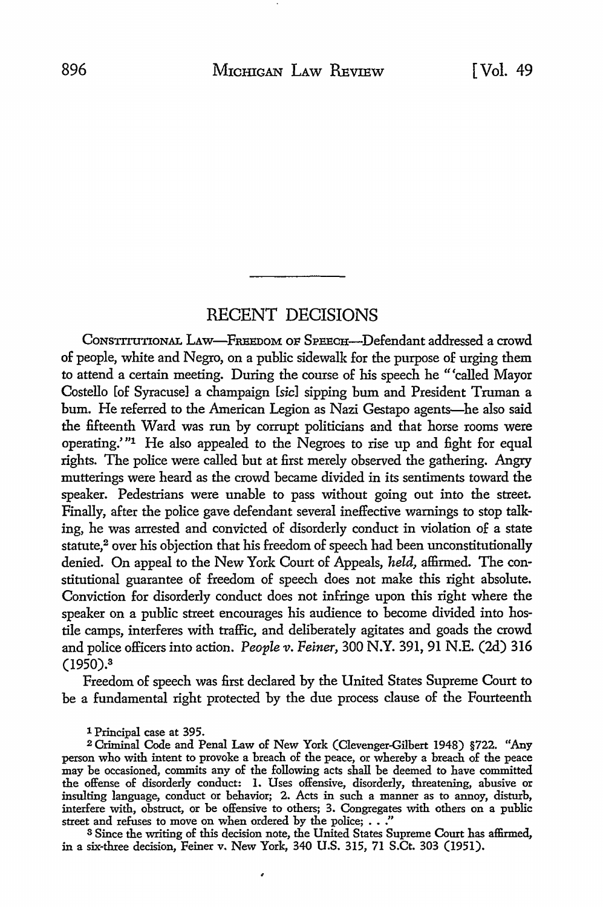## RECENT DECISIONS

CONSTITUTIONAL LAw-FREEDoM OF SPEECH-Defendant addressed a crowd of people, white and Negro, on a public sidewalk for the purpose of urging them to attend a certain meeting. During the course of his speech he "'called Mayor Costello [of Syracuse] a champaign [sic] sipping bum and President Truman a bum. He referred to the American Legion as Nazi Gestapo agents-he also said the fifteenth Ward was run by corrupt politicians and that horse rooms were operating.' "1 He also appealed to the Negroes *to* rise up and fight for equal rights. The police were called but at first merely observed the gathering. Angry mutterings were heard as the crowd became divided in its sentiments toward the speaker. Pedestrians were unable *to* pass without going out into the street. Finally, after the police gave defendant several ineffective warnings to stop talking, he was arrested and convicted of disorderly conduct in violation of a state statute,<sup>2</sup> over his objection that his freedom of speech had been unconstitutionally denied. On appeal to the New York Court of Appeals, *held,* affirmed. The constitutional guarantee of freedom of speech does not make this right absolute. Conviction for disorderly conduct does not infringe upon this right where the speaker on a public street encourages his audience to become divided into hostile camps, interferes with traffic, and deliberately agitates and goads the crowd and police officers into action. *People v. Feiner*, 300 N.Y. 391, 91 N.E. (2d) 316 (1950).<sup>3</sup>

Freedom of speech was first declared by the United States Supreme Court to be a fundamental right protected by the due process clause of the Fourteenth

1 Principal case at 395.

<sup>2</sup>Criminal Code and Penal Law of New York (Clevenger-Gilbert 1948) §722. "Any person who with intent to provoke a breach of the peace, or whereby a breach of the peace may be occasioned, commits any of the following acts shall be deemed to have committed the offense of disorderly conduct: 1. Uses offensive, disorderly, threatening, abusive or insulting language, conduct or behavior; 2. Acts in such a manner as to annoy, disturb, interfere with, obstruct, or be offensive to others; 3. Congregates with others on a public street and refuses to move on when ordered by the police; . . ."

<sup>3</sup>Since the writing of this decision note, the United States Supreme Court has affirmed, in a six-three decision, Feiner v. New York, 340 U.S. 315, 71 S.Ct. 303 (1951).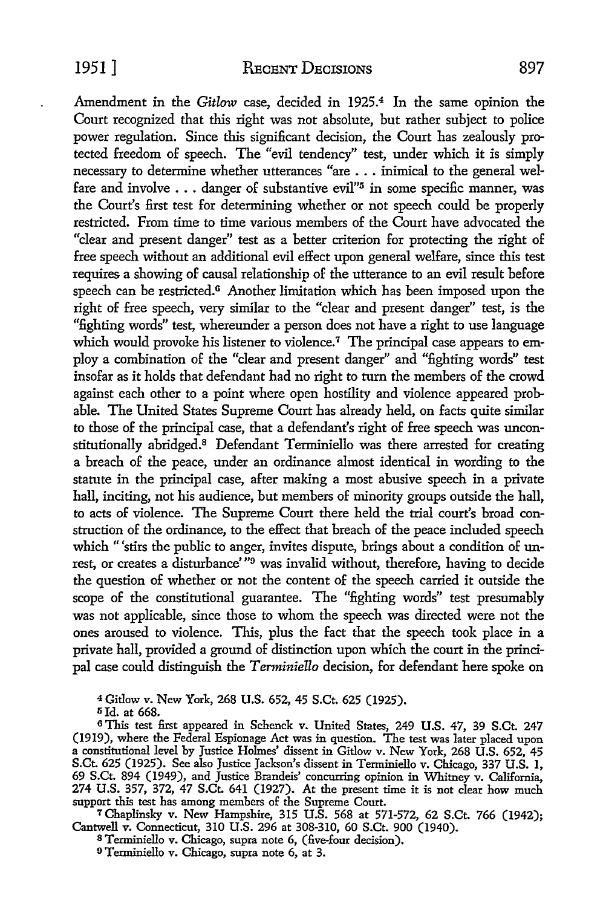Amendment in the *Gitlow* case, decided in 1925.4 In the same opinion the Court recognized that this right was not absolute, but rather subject to police power regulation. Since this significant decision, the Court has zealously protected freedom of speech. The "evil tendency" test, under which it is simply necessary to determine whether utterances "are ... inimical to the general welfare and involve  $\dots$  danger of substantive evil"<sup>5</sup> in some specific manner, was the Court's first test for determining whether or not speech could be properly restricted. From time to time various members of the Court have advocated the "clear and present danger" test as a better criterion for protecting the right of free speech without an additional evil effect upon general welfare, since this test requires a showing of causal relationship of the utterance to an evil result before speech can be restricted.<sup>6</sup> Another limitation which has been imposed upon the right of free speech, very similar to the "clear and present danger" test, is the "fighting words" test, whereunder a person does not have a right to use language which would provoke his listener to violence.<sup>7</sup> The principal case appears to employ a combination of the "clear and present danger" and "fighting words" test insofar as it holds that defendant had no right to turn the members of the crowd against each other to a point where open hostility and violence appeared probable. The United States Supreme Court has already held, on facts quite similar to those of the principal case, that a defendant's right of free speech was unconstitutionally abridged.8 Defendant Terminiello was there arrested for creating a breach of the peace, under an ordinance almost identical in wording to the statute in the principal case, after making a most abusive speech in a private hall, inciting, not his audience, but members of minority groups outside the hall, to acts of violence. The Supreme Court there held the trial court's broad construction of the ordinance, to the effect that breach of the peace included speech which "'stirs the public to anger, invites dispute, brings about a condition of unrest, or creates a disturbance'<sup>79</sup> was invalid without, therefore, having to decide the question of whether or not the content of the speech carried it outside the scope of the constitutional guarantee. The "fighting words" test presumably was not applicable, since those to whom the speech was directed were not the ones aroused to violence. This, plus the fact that the speech took place in a private hall, provided a ground of distinction upon which the court in the principal case could distinguish the *T erminiello* decision, for defendant here spoke on

<sup>4</sup>Gitlow v. New York, 268 U.S. 652, 45 S.Ct. 625 (1925).

5Jd. at 668.

<sup>6</sup> This test first appeared in Schenck v. United States, 249 U.S. 47, 39 S.Ct. 247 (1919), where the Federal Espionage Act was in question. The test was later placed upon a constitutional level by Justice Holmes' dissent in Gitlow v. New York, 268 U.S. 652, 45 S.Ct. 625 (1925). See also Justice Jackson's dissent in Tenniniello v. Chicago, 337 U.S. 1, 69 S.Ct. 894 (1949), and Justice Brandeis' concurring opinion in Whitney v. California, 274 U.S. 357, 372, 47 S.Ct. 641 (1927). At the present time it is not dear how much support this test has among members of the Supreme Court.

<sup>7</sup>Chaplinsky v. New Hampshire, 315 U.S. 568 at 571-572, 62 S.Ct. 766 (1942); Cantwell v. Connecticut, 310 U.S. 296 at 308-310, 60 S.Ct. 900 (1940).

8 Terminiello v. Chicago, supra note 6, (five-four decision).

9Terminiello v. Chicago, supra note 6, at 3.